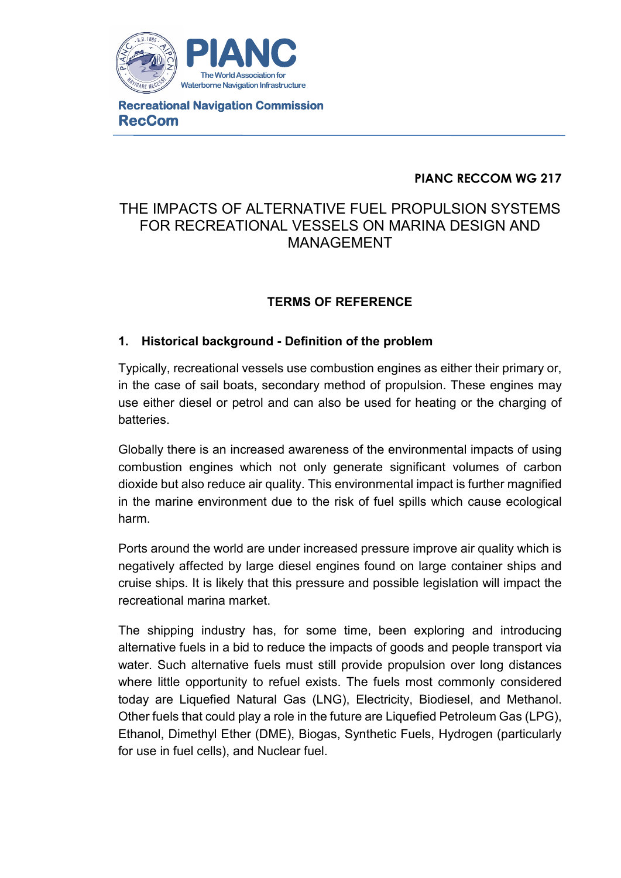

**Recreational Navigation Commission RecCom**

# **PIANC RECCOM WG 217**

# THE IMPACTS OF ALTERNATIVE FUEL PROPULSION SYSTEMS FOR RECREATIONAL VESSELS ON MARINA DESIGN AND MANAGEMENT

# **TERMS OF REFERENCE**

# **1. Historical background - Definition of the problem**

Typically, recreational vessels use combustion engines as either their primary or, in the case of sail boats, secondary method of propulsion. These engines may use either diesel or petrol and can also be used for heating or the charging of batteries.

Globally there is an increased awareness of the environmental impacts of using combustion engines which not only generate significant volumes of carbon dioxide but also reduce air quality. This environmental impact is further magnified in the marine environment due to the risk of fuel spills which cause ecological harm.

Ports around the world are under increased pressure improve air quality which is negatively affected by large diesel engines found on large container ships and cruise ships. It is likely that this pressure and possible legislation will impact the recreational marina market.

The shipping industry has, for some time, been exploring and introducing alternative fuels in a bid to reduce the impacts of goods and people transport via water. Such alternative fuels must still provide propulsion over long distances where little opportunity to refuel exists. The fuels most commonly considered today are Liquefied Natural Gas (LNG), Electricity, Biodiesel, and Methanol. Other fuels that could play a role in the future are Liquefied Petroleum Gas (LPG), Ethanol, Dimethyl Ether (DME), Biogas, Synthetic Fuels, Hydrogen (particularly for use in fuel cells), and Nuclear fuel.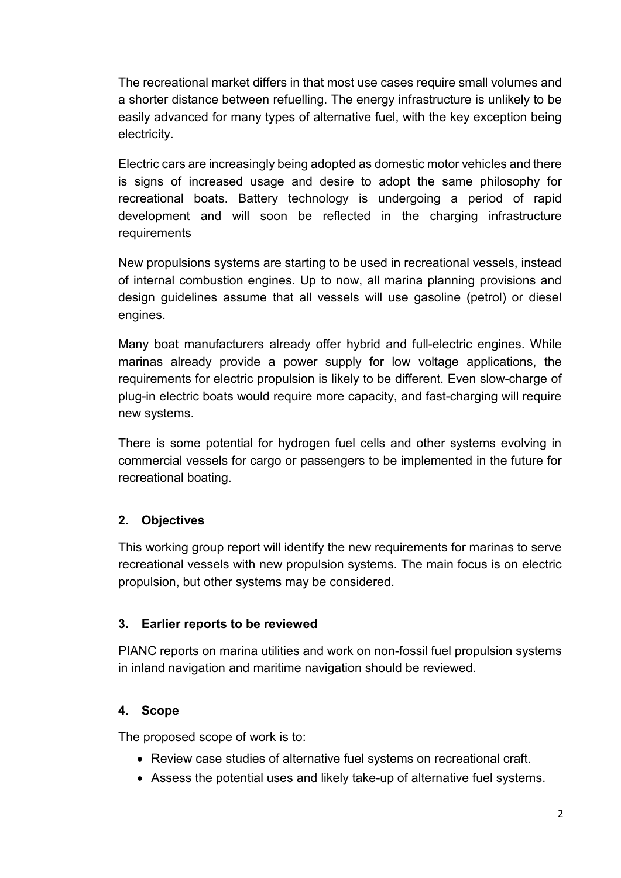The recreational market differs in that most use cases require small volumes and a shorter distance between refuelling. The energy infrastructure is unlikely to be easily advanced for many types of alternative fuel, with the key exception being electricity.

Electric cars are increasingly being adopted as domestic motor vehicles and there is signs of increased usage and desire to adopt the same philosophy for recreational boats. Battery technology is undergoing a period of rapid development and will soon be reflected in the charging infrastructure requirements

New propulsions systems are starting to be used in recreational vessels, instead of internal combustion engines. Up to now, all marina planning provisions and design guidelines assume that all vessels will use gasoline (petrol) or diesel engines.

Many boat manufacturers already offer hybrid and full-electric engines. While marinas already provide a power supply for low voltage applications, the requirements for electric propulsion is likely to be different. Even slow-charge of plug-in electric boats would require more capacity, and fast-charging will require new systems.

There is some potential for hydrogen fuel cells and other systems evolving in commercial vessels for cargo or passengers to be implemented in the future for recreational boating.

# **2. Objectives**

This working group report will identify the new requirements for marinas to serve recreational vessels with new propulsion systems. The main focus is on electric propulsion, but other systems may be considered.

# **3. Earlier reports to be reviewed**

PIANC reports on marina utilities and work on non-fossil fuel propulsion systems in inland navigation and maritime navigation should be reviewed.

# **4. Scope**

The proposed scope of work is to:

- Review case studies of alternative fuel systems on recreational craft.
- Assess the potential uses and likely take-up of alternative fuel systems.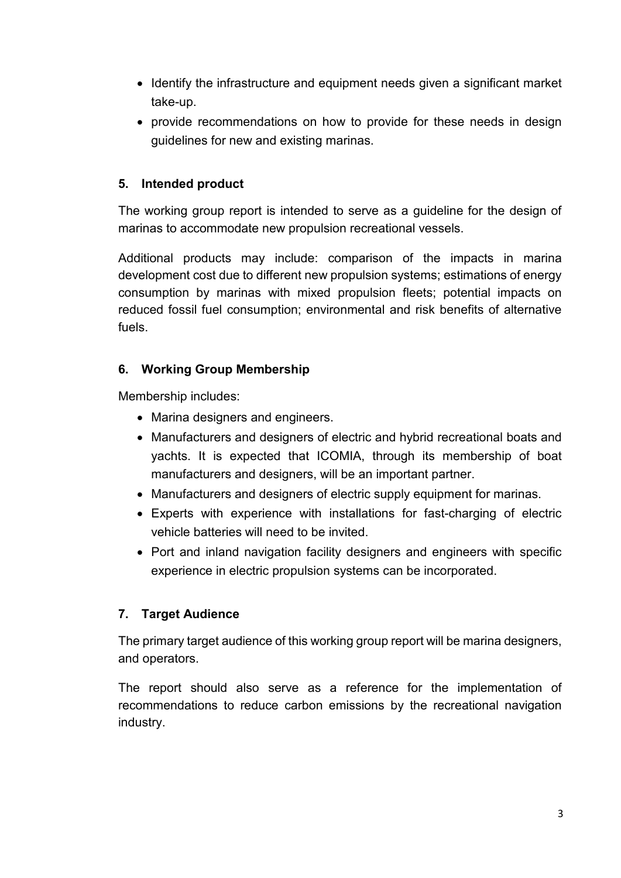- Identify the infrastructure and equipment needs given a significant market take-up.
- provide recommendations on how to provide for these needs in design guidelines for new and existing marinas.

# **5. Intended product**

The working group report is intended to serve as a guideline for the design of marinas to accommodate new propulsion recreational vessels.

Additional products may include: comparison of the impacts in marina development cost due to different new propulsion systems; estimations of energy consumption by marinas with mixed propulsion fleets; potential impacts on reduced fossil fuel consumption; environmental and risk benefits of alternative fuels.

#### **6. Working Group Membership**

Membership includes:

- Marina designers and engineers.
- Manufacturers and designers of electric and hybrid recreational boats and yachts. It is expected that ICOMIA, through its membership of boat manufacturers and designers, will be an important partner.
- Manufacturers and designers of electric supply equipment for marinas.
- Experts with experience with installations for fast-charging of electric vehicle batteries will need to be invited.
- Port and inland navigation facility designers and engineers with specific experience in electric propulsion systems can be incorporated.

# **7. Target Audience**

The primary target audience of this working group report will be marina designers, and operators.

The report should also serve as a reference for the implementation of recommendations to reduce carbon emissions by the recreational navigation industry.